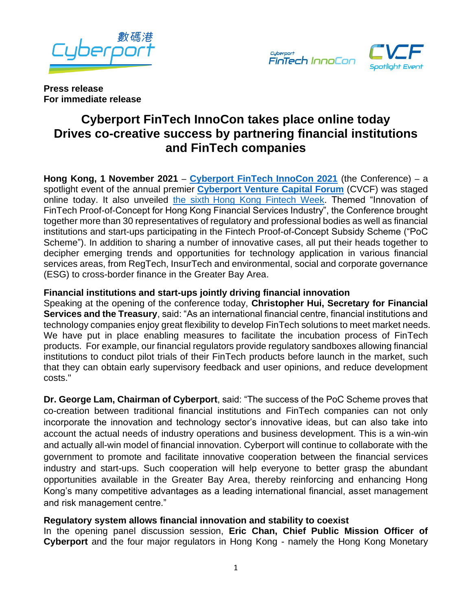



**Press release For immediate release**

# **Cyberport FinTech InnoCon takes place online today Drives co-creative success by partnering financial institutions and FinTech companies**

**Hong Kong, 1 November 2021** – **[Cyberport FinTech InnoCon 2021](https://cvcf.cyberport.hk/en/fintech)** (the Conference) – a spotlight event of the annual premier **[Cyberport Venture Capital Forum](https://cvcf.cyberport.hk/en/index)** (CVCF) was staged online today. It also unveiled the sixth [Hong Kong Fintech Week.](https://www.fintechweek.hk/hk/home) Themed "Innovation of FinTech Proof-of-Concept for Hong Kong Financial Services Industry", the Conference brought together more than 30 representatives of regulatory and professional bodies as well as financial institutions and start-ups participating in the Fintech Proof-of-Concept Subsidy Scheme ("PoC Scheme"). In addition to sharing a number of innovative cases, all put their heads together to decipher emerging trends and opportunities for technology application in various financial services areas, from RegTech, InsurTech and environmental, social and corporate governance (ESG) to cross-border finance in the Greater Bay Area.

# **Financial institutions and start-ups jointly driving financial innovation**

Speaking at the opening of the conference today, **Christopher Hui, Secretary for Financial Services and the Treasury**, said: "As an international financial centre, financial institutions and technology companies enjoy great flexibility to develop FinTech solutions to meet market needs. We have put in place enabling measures to facilitate the incubation process of FinTech products. For example, our financial regulators provide regulatory sandboxes allowing financial institutions to conduct pilot trials of their FinTech products before launch in the market, such that they can obtain early supervisory feedback and user opinions, and reduce development costs."

**Dr. George Lam, Chairman of Cyberport**, said: "The success of the PoC Scheme proves that co-creation between traditional financial institutions and FinTech companies can not only incorporate the innovation and technology sector's innovative ideas, but can also take into account the actual needs of industry operations and business development. This is a win-win and actually all-win model of financial innovation. Cyberport will continue to collaborate with the government to promote and facilitate innovative cooperation between the financial services industry and start-ups. Such cooperation will help everyone to better grasp the abundant opportunities available in the Greater Bay Area, thereby reinforcing and enhancing Hong Kong's many competitive advantages as a leading international financial, asset management and risk management centre."

# **Regulatory system allows financial innovation and stability to coexist**

In the opening panel discussion session, **Eric Chan, Chief Public Mission Officer of Cyberport** and the four major regulators in Hong Kong - namely the Hong Kong Monetary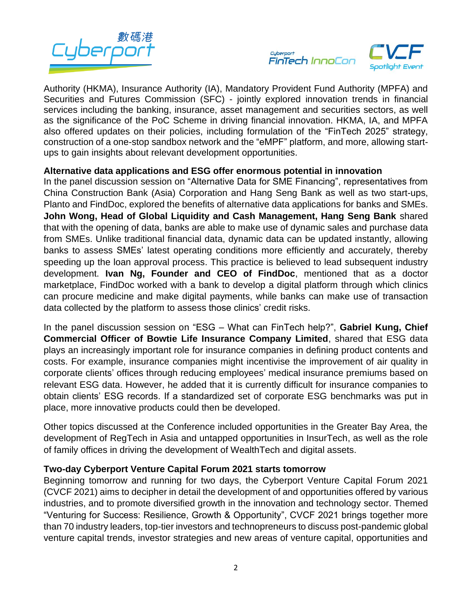



Authority (HKMA), Insurance Authority (IA), Mandatory Provident Fund Authority (MPFA) and Securities and Futures Commission (SFC) - jointly explored innovation trends in financial services including the banking, insurance, asset management and securities sectors, as well as the significance of the PoC Scheme in driving financial innovation. HKMA, IA, and MPFA also offered updates on their policies, including formulation of the "FinTech 2025" strategy, construction of a one-stop sandbox network and the "eMPF" platform, and more, allowing startups to gain insights about relevant development opportunities.

### **Alternative data applications and ESG offer enormous potential in innovation**

In the panel discussion session on "Alternative Data for SME Financing", representatives from China Construction Bank (Asia) Corporation and Hang Seng Bank as well as two start-ups, Planto and FindDoc, explored the benefits of alternative data applications for banks and SMEs. **John Wong, Head of Global Liquidity and Cash Management, Hang Seng Bank** shared that with the opening of data, banks are able to make use of dynamic sales and purchase data from SMEs. Unlike traditional financial data, dynamic data can be updated instantly, allowing banks to assess SMEs' latest operating conditions more efficiently and accurately, thereby speeding up the loan approval process. This practice is believed to lead subsequent industry development. **Ivan Ng, Founder and CEO of FindDoc**, mentioned that as a doctor marketplace, FindDoc worked with a bank to develop a digital platform through which clinics can procure medicine and make digital payments, while banks can make use of transaction data collected by the platform to assess those clinics' credit risks.

In the panel discussion session on "ESG – What can FinTech help?", **Gabriel Kung, Chief Commercial Officer of Bowtie Life Insurance Company Limited**, shared that ESG data plays an increasingly important role for insurance companies in defining product contents and costs. For example, insurance companies might incentivise the improvement of air quality in corporate clients' offices through reducing employees' medical insurance premiums based on relevant ESG data. However, he added that it is currently difficult for insurance companies to obtain clients' ESG records. If a standardized set of corporate ESG benchmarks was put in place, more innovative products could then be developed.

Other topics discussed at the Conference included opportunities in the Greater Bay Area, the development of RegTech in Asia and untapped opportunities in InsurTech, as well as the role of family offices in driving the development of WealthTech and digital assets.

# **Two-day Cyberport Venture Capital Forum 2021 starts tomorrow**

Beginning tomorrow and running for two days, the Cyberport Venture Capital Forum 2021 (CVCF 2021) aims to decipher in detail the development of and opportunities offered by various industries, and to promote diversified growth in the innovation and technology sector. Themed "Venturing for Success: Resilience, Growth & Opportunity", CVCF 2021 brings together more than 70 industry leaders, top-tier investors and technopreneurs to discuss post-pandemic global venture capital trends, investor strategies and new areas of venture capital, opportunities and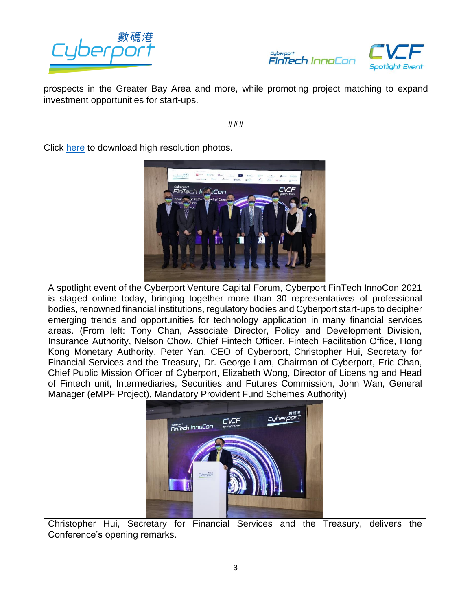



prospects in the Greater Bay Area and more, while promoting project matching to expand investment opportunities for start-ups.

###

Click [here](https://drive.google.com/drive/folders/18dkLm0HPFbIECZbk2urvprJkVjjQglBB?usp=sharing) to download high resolution photos.



A spotlight event of the Cyberport Venture Capital Forum, Cyberport FinTech InnoCon 2021 is staged online today, bringing together more than 30 representatives of professional bodies, renowned financial institutions, regulatory bodies and Cyberport start-ups to decipher emerging trends and opportunities for technology application in many financial services areas. (From left: Tony Chan, Associate Director, Policy and Development Division, Insurance Authority, Nelson Chow, Chief Fintech Officer, Fintech Facilitation Office, Hong Kong Monetary Authority, Peter Yan, CEO of Cyberport, Christopher Hui, Secretary for Financial Services and the Treasury, Dr. George Lam, Chairman of Cyberport, Eric Chan, Chief Public Mission Officer of Cyberport, Elizabeth Wong, Director of Licensing and Head of Fintech unit, Intermediaries, Securities and Futures Commission, John Wan, General Manager (eMPF Project), Mandatory Provident Fund Schemes Authority)